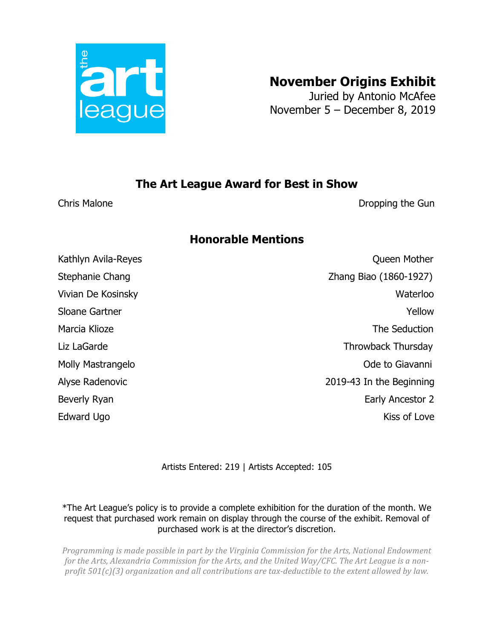

## **November Origins Exhibit**

Juried by Antonio McAfee November 5 – December 8, 2019

## **The Art League Award for Best in Show**

Chris Malone **Dropping the Gun** 

## **Honorable Mentions**

Kathlyn Avila-Reyes **Community** Community Community Community Community Community Community Community Community Community Community Community Community Community Community Community Community Community Community Community Stephanie Chang Zhang Biao (1860-1927) Vivian De Kosinsky Waterloo Sloane Gartner Yellow New Yellow New Yellow Marcia Klioze **The Seduction** Liz LaGarde Throwback Thursday Molly Mastrangelo **Molly Mastrangelo Molly Mastrangelo Ode to Giavanni** Alyse Radenovic 2019-43 In the Beginning Beverly Ryan **Early Ancestor 2** Edward Ugo Kiss of Love

Artists Entered: 219 | Artists Accepted: 105

\*The Art League's policy is to provide a complete exhibition for the duration of the month. We request that purchased work remain on display through the course of the exhibit. Removal of purchased work is at the director's discretion.

*Programming is made possible in part by the Virginia Commission for the Arts, National Endowment* for the Arts, Alexandria Commission for the Arts, and the United Way/CFC. The Art League is a non*profit*  $501(c)(3)$  organization and all contributions are tax-deductible to the extent allowed by law.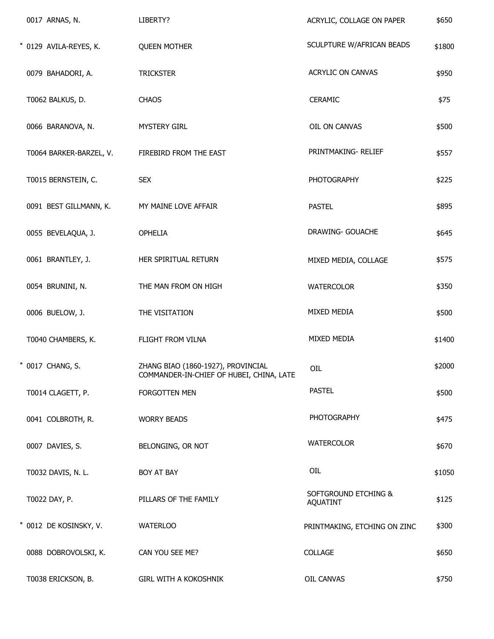| 0017 ARNAS, N.          | LIBERTY?                                                                       | ACRYLIC, COLLAGE ON PAPER               | \$650  |
|-------------------------|--------------------------------------------------------------------------------|-----------------------------------------|--------|
| * 0129 AVILA-REYES, K.  | <b>QUEEN MOTHER</b>                                                            | SCULPTURE W/AFRICAN BEADS               | \$1800 |
| 0079 BAHADORI, A.       | <b>TRICKSTER</b>                                                               | ACRYLIC ON CANVAS                       | \$950  |
| T0062 BALKUS, D.        | <b>CHAOS</b>                                                                   | CERAMIC                                 | \$75   |
| 0066 BARANOVA, N.       | <b>MYSTERY GIRL</b>                                                            | OIL ON CANVAS                           | \$500  |
| T0064 BARKER-BARZEL, V. | FIREBIRD FROM THE EAST                                                         | PRINTMAKING-RELIEF                      | \$557  |
| T0015 BERNSTEIN, C.     | <b>SEX</b>                                                                     | <b>PHOTOGRAPHY</b>                      | \$225  |
| 0091 BEST GILLMANN, K.  | MY MAINE LOVE AFFAIR                                                           | <b>PASTEL</b>                           | \$895  |
| 0055 BEVELAQUA, J.      | <b>OPHELIA</b>                                                                 | DRAWING- GOUACHE                        | \$645  |
| 0061 BRANTLEY, J.       | HER SPIRITUAL RETURN                                                           | MIXED MEDIA, COLLAGE                    | \$575  |
| 0054 BRUNINI, N.        | THE MAN FROM ON HIGH                                                           | <b>WATERCOLOR</b>                       | \$350  |
| 0006 BUELOW, J.         | THE VISITATION                                                                 | MIXED MEDIA                             | \$500  |
| T0040 CHAMBERS, K.      | FLIGHT FROM VILNA                                                              | MIXED MEDIA                             | \$1400 |
| * 0017 CHANG, S.        | ZHANG BIAO (1860-1927), PROVINCIAL<br>COMMANDER-IN-CHIEF OF HUBEI, CHINA, LATE | OIL                                     | \$2000 |
| T0014 CLAGETT, P.       | FORGOTTEN MEN                                                                  | <b>PASTEL</b>                           | \$500  |
| 0041 COLBROTH, R.       | <b>WORRY BEADS</b>                                                             | <b>PHOTOGRAPHY</b>                      | \$475  |
| 0007 DAVIES, S.         | BELONGING, OR NOT                                                              | <b>WATERCOLOR</b>                       | \$670  |
| T0032 DAVIS, N. L.      | BOY AT BAY                                                                     | OIL                                     | \$1050 |
| T0022 DAY, P.           | PILLARS OF THE FAMILY                                                          | SOFTGROUND ETCHING &<br><b>AQUATINT</b> | \$125  |
| * 0012 DE KOSINSKY, V.  | <b>WATERLOO</b>                                                                | PRINTMAKING, ETCHING ON ZINC            | \$300  |
| 0088 DOBROVOLSKI, K.    | CAN YOU SEE ME?                                                                | COLLAGE                                 | \$650  |
| T0038 ERICKSON, B.      | <b>GIRL WITH A KOKOSHNIK</b>                                                   | OIL CANVAS                              | \$750  |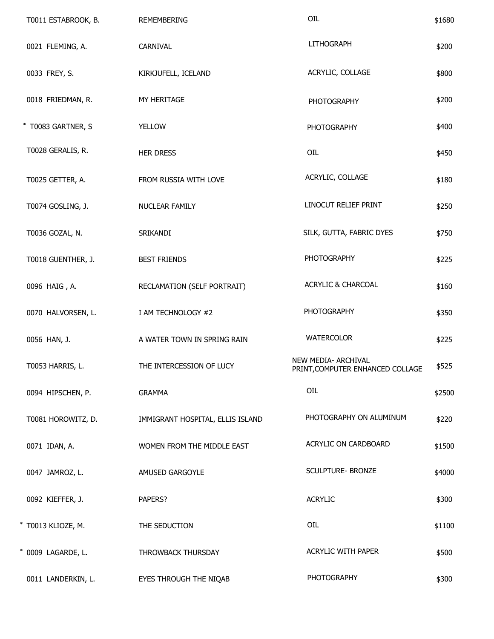| T0011 ESTABROOK, B. | <b>REMEMBERING</b>               | OIL                                                     | \$1680 |
|---------------------|----------------------------------|---------------------------------------------------------|--------|
| 0021 FLEMING, A.    | CARNIVAL                         | <b>LITHOGRAPH</b>                                       | \$200  |
| 0033 FREY, S.       | KIRKJUFELL, ICELAND              | ACRYLIC, COLLAGE                                        | \$800  |
| 0018 FRIEDMAN, R.   | MY HERITAGE                      | <b>PHOTOGRAPHY</b>                                      | \$200  |
| * T0083 GARTNER, S  | <b>YELLOW</b>                    | <b>PHOTOGRAPHY</b>                                      | \$400  |
| T0028 GERALIS, R.   | <b>HER DRESS</b>                 | OIL                                                     | \$450  |
| T0025 GETTER, A.    | FROM RUSSIA WITH LOVE            | ACRYLIC, COLLAGE                                        | \$180  |
| T0074 GOSLING, J.   | NUCLEAR FAMILY                   | LINOCUT RELIEF PRINT                                    | \$250  |
| T0036 GOZAL, N.     | SRIKANDI                         | SILK, GUTTA, FABRIC DYES                                | \$750  |
| T0018 GUENTHER, J.  | <b>BEST FRIENDS</b>              | <b>PHOTOGRAPHY</b>                                      | \$225  |
| 0096 HAIG, A.       | RECLAMATION (SELF PORTRAIT)      | <b>ACRYLIC &amp; CHARCOAL</b>                           | \$160  |
| 0070 HALVORSEN, L.  | I AM TECHNOLOGY #2               | PHOTOGRAPHY                                             | \$350  |
| 0056 HAN, J.        | A WATER TOWN IN SPRING RAIN      | <b>WATERCOLOR</b>                                       | \$225  |
| T0053 HARRIS, L.    | THE INTERCESSION OF LUCY         | NEW MEDIA- ARCHIVAL<br>PRINT, COMPUTER ENHANCED COLLAGE | \$525  |
| 0094 HIPSCHEN, P.   | <b>GRAMMA</b>                    | OIL                                                     | \$2500 |
| T0081 HOROWITZ, D.  | IMMIGRANT HOSPITAL, ELLIS ISLAND | PHOTOGRAPHY ON ALUMINUM                                 | \$220  |
| 0071 IDAN, A.       | WOMEN FROM THE MIDDLE EAST       | ACRYLIC ON CARDBOARD                                    | \$1500 |
| 0047 JAMROZ, L.     | AMUSED GARGOYLE                  | <b>SCULPTURE- BRONZE</b>                                | \$4000 |
| 0092 KIEFFER, J.    | PAPERS?                          | <b>ACRYLIC</b>                                          | \$300  |
| * T0013 KLIOZE, M.  | THE SEDUCTION                    | OIL                                                     | \$1100 |
| * 0009 LAGARDE, L.  | THROWBACK THURSDAY               | ACRYLIC WITH PAPER                                      | \$500  |
| 0011 LANDERKIN, L.  | EYES THROUGH THE NIQAB           | <b>PHOTOGRAPHY</b>                                      | \$300  |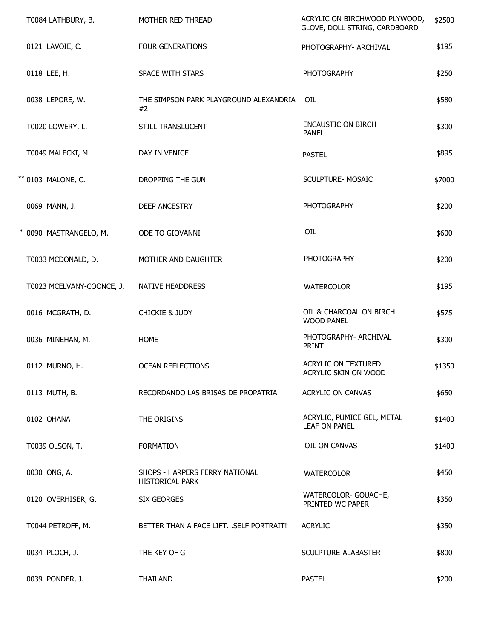| T0084 LATHBURY, B.        | MOTHER RED THREAD                                        | ACRYLIC ON BIRCHWOOD PLYWOOD,<br>GLOVE, DOLL STRING, CARDBOARD | \$2500 |
|---------------------------|----------------------------------------------------------|----------------------------------------------------------------|--------|
| 0121 LAVOIE, C.           | <b>FOUR GENERATIONS</b>                                  | PHOTOGRAPHY- ARCHIVAL                                          | \$195  |
| 0118 LEE, H.              | SPACE WITH STARS                                         | <b>PHOTOGRAPHY</b>                                             | \$250  |
| 0038 LEPORE, W.           | THE SIMPSON PARK PLAYGROUND ALEXANDRIA<br>#2             | OIL                                                            | \$580  |
| T0020 LOWERY, L.          | STILL TRANSLUCENT                                        | <b>ENCAUSTIC ON BIRCH</b><br><b>PANEL</b>                      | \$300  |
| T0049 MALECKI, M.         | DAY IN VENICE                                            | <b>PASTEL</b>                                                  | \$895  |
| ** 0103 MALONE, C.        | DROPPING THE GUN                                         | <b>SCULPTURE- MOSAIC</b>                                       | \$7000 |
| 0069 MANN, J.             | <b>DEEP ANCESTRY</b>                                     | <b>PHOTOGRAPHY</b>                                             | \$200  |
| * 0090 MASTRANGELO, M.    | ODE TO GIOVANNI                                          | OIL                                                            | \$600  |
| T0033 MCDONALD, D.        | MOTHER AND DAUGHTER                                      | <b>PHOTOGRAPHY</b>                                             | \$200  |
| T0023 MCELVANY-COONCE, J. | <b>NATIVE HEADDRESS</b>                                  | <b>WATERCOLOR</b>                                              | \$195  |
| 0016 MCGRATH, D.          | <b>CHICKIE &amp; JUDY</b>                                | OIL & CHARCOAL ON BIRCH<br><b>WOOD PANEL</b>                   | \$575  |
| 0036 MINEHAN, M.          | <b>HOME</b>                                              | PHOTOGRAPHY- ARCHIVAL<br><b>PRINT</b>                          | \$300  |
| 0112 MURNO, H.            | <b>OCEAN REFLECTIONS</b>                                 | ACRYLIC ON TEXTURED<br>ACRYLIC SKIN ON WOOD                    | \$1350 |
| 0113 MUTH, B.             | RECORDANDO LAS BRISAS DE PROPATRIA                       | ACRYLIC ON CANVAS                                              | \$650  |
| 0102 OHANA                | THE ORIGINS                                              | ACRYLIC, PUMICE GEL, METAL<br><b>LEAF ON PANEL</b>             | \$1400 |
| T0039 OLSON, T.           | <b>FORMATION</b>                                         | OIL ON CANVAS                                                  | \$1400 |
| 0030 ONG, A.              | SHOPS - HARPERS FERRY NATIONAL<br><b>HISTORICAL PARK</b> | <b>WATERCOLOR</b>                                              | \$450  |
| 0120 OVERHISER, G.        | <b>SIX GEORGES</b>                                       | WATERCOLOR- GOUACHE,<br>PRINTED WC PAPER                       | \$350  |
| T0044 PETROFF, M.         | BETTER THAN A FACE LIFTSELF PORTRAIT!                    | <b>ACRYLIC</b>                                                 | \$350  |
| 0034 PLOCH, J.            | THE KEY OF G                                             | SCULPTURE ALABASTER                                            | \$800  |
| 0039 PONDER, J.           | THAILAND                                                 | <b>PASTEL</b>                                                  | \$200  |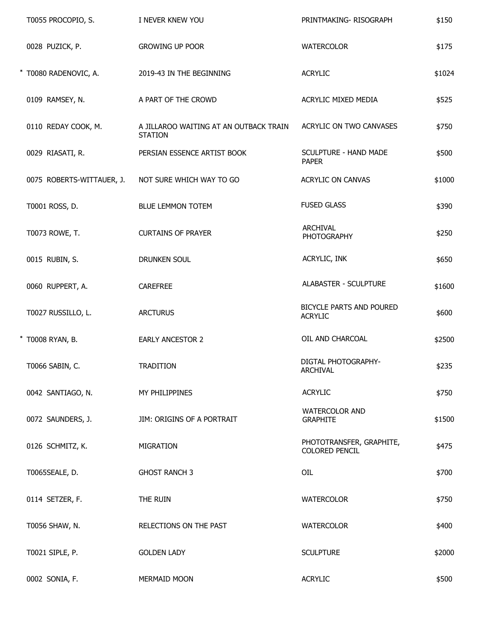| T0055 PROCOPIO, S.        | I NEVER KNEW YOU                                         | PRINTMAKING-RISOGRAPH                      | \$150  |
|---------------------------|----------------------------------------------------------|--------------------------------------------|--------|
| 0028 PUZICK, P.           | <b>GROWING UP POOR</b>                                   | <b>WATERCOLOR</b>                          | \$175  |
| * T0080 RADENOVIC, A.     | 2019-43 IN THE BEGINNING                                 | <b>ACRYLIC</b>                             | \$1024 |
| 0109 RAMSEY, N.           | A PART OF THE CROWD                                      | ACRYLIC MIXED MEDIA                        | \$525  |
| 0110 REDAY COOK, M.       | A JILLAROO WAITING AT AN OUTBACK TRAIN<br><b>STATION</b> | ACRYLIC ON TWO CANVASES                    | \$750  |
| 0029 RIASATI, R.          | PERSIAN ESSENCE ARTIST BOOK                              | SCULPTURE - HAND MADE<br><b>PAPER</b>      | \$500  |
| 0075 ROBERTS-WITTAUER, J. | NOT SURE WHICH WAY TO GO                                 | <b>ACRYLIC ON CANVAS</b>                   | \$1000 |
| T0001 ROSS, D.            | <b>BLUE LEMMON TOTEM</b>                                 | <b>FUSED GLASS</b>                         | \$390  |
| T0073 ROWE, T.            | <b>CURTAINS OF PRAYER</b>                                | <b>ARCHIVAL</b><br><b>PHOTOGRAPHY</b>      | \$250  |
| 0015 RUBIN, S.            | DRUNKEN SOUL                                             | ACRYLIC, INK                               | \$650  |
| 0060 RUPPERT, A.          | CAREFREE                                                 | <b>ALABASTER - SCULPTURE</b>               | \$1600 |
| T0027 RUSSILLO, L.        | <b>ARCTURUS</b>                                          | BICYCLE PARTS AND POURED<br><b>ACRYLIC</b> | \$600  |
| * T0008 RYAN, B.          | <b>EARLY ANCESTOR 2</b>                                  | OIL AND CHARCOAL                           | \$2500 |
| T0066 SABIN, C.           | <b>TRADITION</b>                                         | DIGTAL PHOTOGRAPHY-<br><b>ARCHIVAL</b>     | \$235  |
| 0042 SANTIAGO, N.         | MY PHILIPPINES                                           | <b>ACRYLIC</b>                             | \$750  |
| 0072 SAUNDERS, J.         | JIM: ORIGINS OF A PORTRAIT                               | <b>WATERCOLOR AND</b><br><b>GRAPHITE</b>   | \$1500 |
| 0126 SCHMITZ, K.          | <b>MIGRATION</b>                                         | PHOTOTRANSFER, GRAPHITE,<br>COLORED PENCIL | \$475  |
| T0065SEALE, D.            | <b>GHOST RANCH 3</b>                                     | OIL                                        | \$700  |
| 0114 SETZER, F.           | THE RUIN                                                 | <b>WATERCOLOR</b>                          | \$750  |
| T0056 SHAW, N.            | RELECTIONS ON THE PAST                                   | <b>WATERCOLOR</b>                          | \$400  |
| T0021 SIPLE, P.           | <b>GOLDEN LADY</b>                                       | <b>SCULPTURE</b>                           | \$2000 |
| 0002 SONIA, F.            | MERMAID MOON                                             | <b>ACRYLIC</b>                             | \$500  |